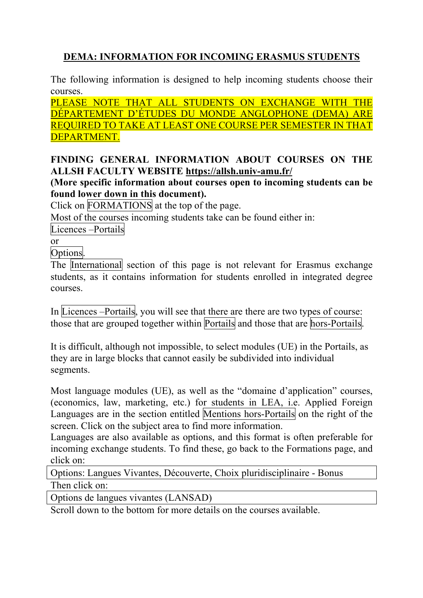# **DEMA: INFORMATION FOR INCOMING ERASMUS STUDENTS**

The following information is designed to help incoming students choose their courses.

PLEASE NOTE THAT ALL STUDENTS ON EXCHANGE WITH THE DÉPARTEMENT D'ÉTUDES DU MONDE ANGLOPHONE (DEMA) ARE REQUIRED TO TAKE AT LEAST ONE COURSE PER SEMESTER IN THAT DEPARTMENT.

#### **FINDING GENERAL INFORMATION ABOUT COURSES ON THE ALLSH FACULTY WEBSITE https://allsh.univ-amu.fr/**

**(More specific information about courses open to incoming students can be found lower down in this document).**

Click on FORMATIONS at the top of the page.

Most of the courses incoming students take can be found either in:

Licences –Portails

or

Options.

The International section of this page is not relevant for Erasmus exchange students, as it contains information for students enrolled in integrated degree courses.

In Licences –Portails, you will see that there are there are two types of course: those that are grouped together within Portails and those that are hors-Portails.

It is difficult, although not impossible, to select modules (UE) in the Portails, as they are in large blocks that cannot easily be subdivided into individual segments.

Most language modules (UE), as well as the "domaine d'application" courses, (economics, law, marketing, etc.) for students in LEA, i.e. Applied Foreign Languages are in the section entitled Mentions hors-Portails on the right of the screen. Click on the subject area to find more information.

Languages are also available as options, and this format is often preferable for incoming exchange students. To find these, go back to the Formations page, and click on:

Options: Langues Vivantes, Découverte, Choix pluridisciplinaire - Bonus Then click on:

Options de langues vivantes (LANSAD)

Scroll down to the bottom for more details on the courses available.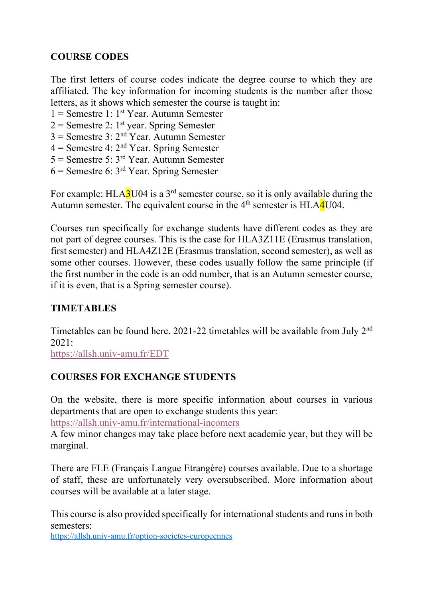### **COURSE CODES**

The first letters of course codes indicate the degree course to which they are affiliated. The key information for incoming students is the number after those letters, as it shows which semester the course is taught in:

 $1 =$  Semestre 1: 1<sup>st</sup> Year. Autumn Semester

 $2 =$  Semestre 2: 1<sup>st</sup> year. Spring Semester

 $3 =$  Semestre 3:  $2<sup>nd</sup>$  Year. Autumn Semester

 $4 =$  Semestre 4:  $2<sup>nd</sup>$  Year. Spring Semester

 $5 =$  Semestre 5:  $3<sup>rd</sup>$  Year. Autumn Semester

 $6$  = Semestre 6:  $3<sup>rd</sup>$  Year. Spring Semester

For example:  $HLA3U04$  is a 3<sup>rd</sup> semester course, so it is only available during the Autumn semester. The equivalent course in the  $4<sup>th</sup>$  semester is HLA $\overline{4}$ U04.

Courses run specifically for exchange students have different codes as they are not part of degree courses. This is the case for HLA3Z11E (Erasmus translation, first semester) and HLA4Z12E (Erasmus translation, second semester), as well as some other courses. However, these codes usually follow the same principle (if the first number in the code is an odd number, that is an Autumn semester course, if it is even, that is a Spring semester course).

### **TIMETABLES**

Timetables can be found here. 2021-22 timetables will be available from July 2<sup>nd</sup> 2021:

https://allsh.univ-amu.fr/EDT

### **COURSES FOR EXCHANGE STUDENTS**

On the website, there is more specific information about courses in various departments that are open to exchange students this year:

https://allsh.univ-amu.fr/international-incomers

A few minor changes may take place before next academic year, but they will be marginal.

There are FLE (Français Langue Etrangère) courses available. Due to a shortage of staff, these are unfortunately very oversubscribed. More information about courses will be available at a later stage.

This course is also provided specifically for international students and runs in both semesters:

https://allsh.univ-amu.fr/option-societes-europeennes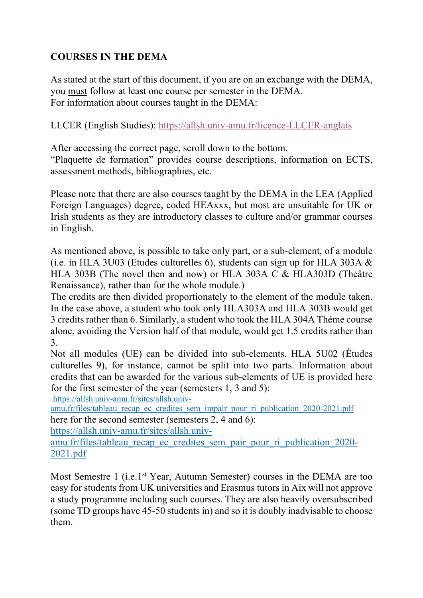# **COURSES IN THE DEMA**

As stated at the start of this document, if you are on an exchange with the DEMA, you must follow at least one course per semester in the DEMA. For information about courses taught in the DEMA:

LLCER (English Studies): https://allsh.univ-amu.fr/licence-LLCER-anglais

After accessing the correct page, scroll down to the bottom.

"Plaquette de formation" provides course descriptions, information on ECTS, assessment methods, bibliographies, etc.

Please note that there are also courses taught by the DEMA in the LEA (Applied Foreign Languages) degree, coded HEAxxx, but most are unsuitable for UK or Irish students as they are introductory classes to culture and/or grammar courses in English.

As mentioned above, is possible to take only part, or a sub-element, of a module (i.e. in HLA 3U03 (Etudes culturelles 6), students can sign up for HLA 303A & HLA 303B (The novel then and now) or HLA 303A C & HLA303D (Theâtre Renaissance), rather than for the whole module.)

The credits are then divided proportionately to the element of the module taken. In the case above, a student who took only HLA303A and HLA 303B would get 3 credits rather than 6. Similarly, a student who took the HLA 304A Thème course alone, avoiding the Version half of that module, would get 1.5 credits rather than 3.

Not all modules (UE) can be divided into sub-elements. HLA 5U02 (Études culturelles 9), for instance, cannot be split into two parts. Information about credits that can be awarded for the various sub-elements of UE is provided here for the first semester of the year (semesters 1, 3 and 5):

https://allsh.univ-amu.fr/sites/allsh.univ-

amu.fr/files/tableau recap ec credites sem impair pour ri publication 2020-2021.pdf here for the second semester (semesters 2, 4 and 6):

https://allsh.univ-amu.fr/sites/allsh.univ-

amu.fr/files/tableau recap ec credites sem pair pour ri publication 2020-2021.pdf

Most Semestre 1 (i.e.1<sup>st</sup> Year, Autumn Semester) courses in the DEMA are too easy for students from UK universities and Erasmus tutors in Aix will not approve a study programme including such courses. They are also heavily oversubscribed (some TD groups have 45-50 students in) and so it is doubly inadvisable to choose them.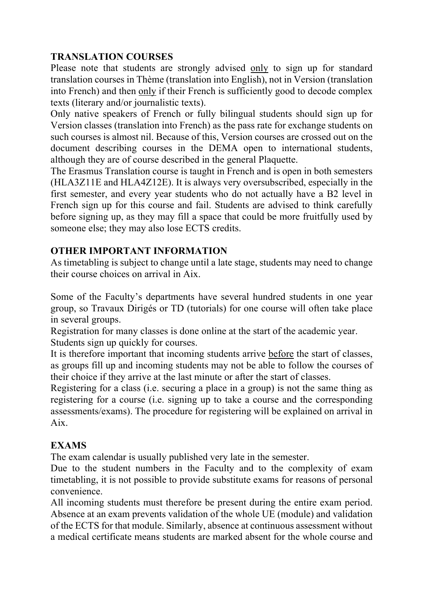### **TRANSLATION COURSES**

Please note that students are strongly advised only to sign up for standard translation courses in Thème (translation into English), not in Version (translation into French) and then only if their French is sufficiently good to decode complex texts (literary and/or journalistic texts).

Only native speakers of French or fully bilingual students should sign up for Version classes (translation into French) as the pass rate for exchange students on such courses is almost nil. Because of this, Version courses are crossed out on the document describing courses in the DEMA open to international students, although they are of course described in the general Plaquette.

The Erasmus Translation course is taught in French and is open in both semesters (HLA3Z11E and HLA4Z12E). It is always very oversubscribed, especially in the first semester, and every year students who do not actually have a B2 level in French sign up for this course and fail. Students are advised to think carefully before signing up, as they may fill a space that could be more fruitfully used by someone else; they may also lose ECTS credits.

## **OTHER IMPORTANT INFORMATION**

As timetabling is subject to change until a late stage, students may need to change their course choices on arrival in Aix.

Some of the Faculty's departments have several hundred students in one year group, so Travaux Dirigés or TD (tutorials) for one course will often take place in several groups.

Registration for many classes is done online at the start of the academic year. Students sign up quickly for courses.

It is therefore important that incoming students arrive before the start of classes, as groups fill up and incoming students may not be able to follow the courses of their choice if they arrive at the last minute or after the start of classes.

Registering for a class (i.e. securing a place in a group) is not the same thing as registering for a course (i.e. signing up to take a course and the corresponding assessments/exams). The procedure for registering will be explained on arrival in Aix.

# **EXAMS**

The exam calendar is usually published very late in the semester.

Due to the student numbers in the Faculty and to the complexity of exam timetabling, it is not possible to provide substitute exams for reasons of personal convenience.

All incoming students must therefore be present during the entire exam period. Absence at an exam prevents validation of the whole UE (module) and validation of the ECTS for that module. Similarly, absence at continuous assessment without a medical certificate means students are marked absent for the whole course and